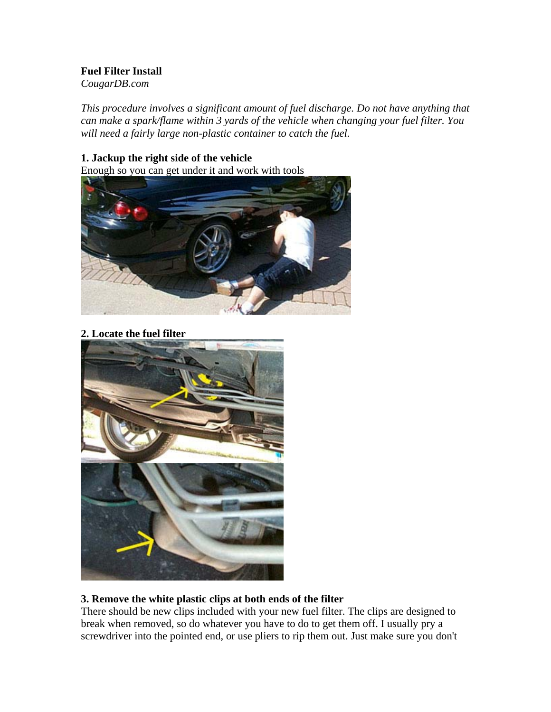# **Fuel Filter Install**

*CougarDB.com* 

*This procedure involves a significant amount of fuel discharge. Do not have anything that can make a spark/flame within 3 yards of the vehicle when changing your fuel filter. You will need a fairly large non-plastic container to catch the fuel.*

# **1. Jackup the right side of the vehicle**

Enough so you can get under it and work with tools



**2. Locate the fuel filter**



## **3. Remove the white plastic clips at both ends of the filter**

There should be new clips included with your new fuel filter. The clips are designed to break when removed, so do whatever you have to do to get them off. I usually pry a screwdriver into the pointed end, or use pliers to rip them out. Just make sure you don't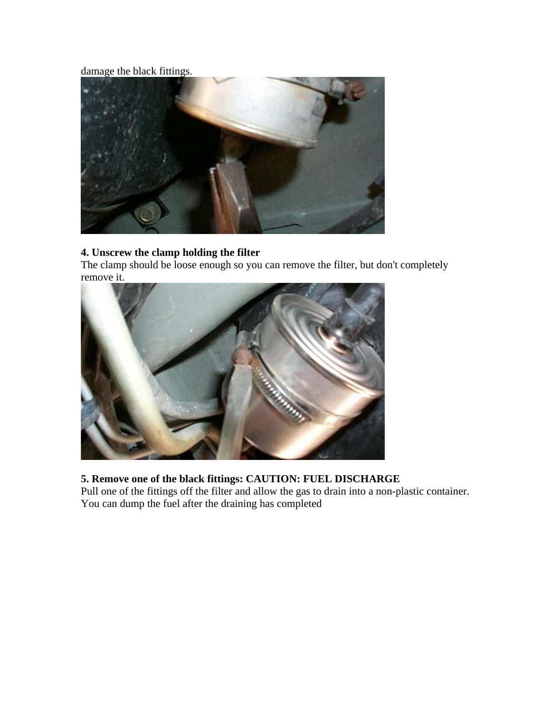# damage the black fittings.



#### **4. Unscrew the clamp holding the filter**

The clamp should be loose enough so you can remove the filter, but don't completely remove it.



# **5. Remove one of the black fittings: CAUTION: FUEL DISCHARGE**

Pull one of the fittings off the filter and allow the gas to drain into a non-plastic container. You can dump the fuel after the draining has completed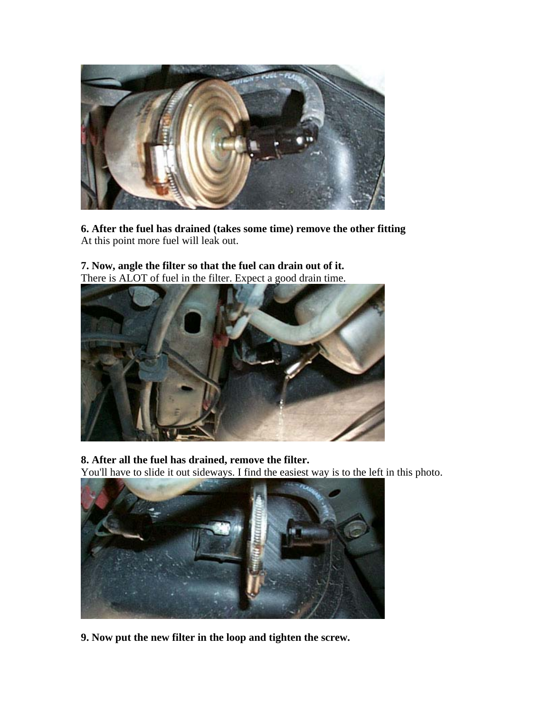

**6. After the fuel has drained (takes some time) remove the other fitting** At this point more fuel will leak out.

**7. Now, angle the filter so that the fuel can drain out of it.** There is ALOT of fuel in the filter. Expect a good drain time.



**8. After all the fuel has drained, remove the filter.**

You'll have to slide it out sideways. I find the easiest way is to the left in this photo.



**9. Now put the new filter in the loop and tighten the screw.**